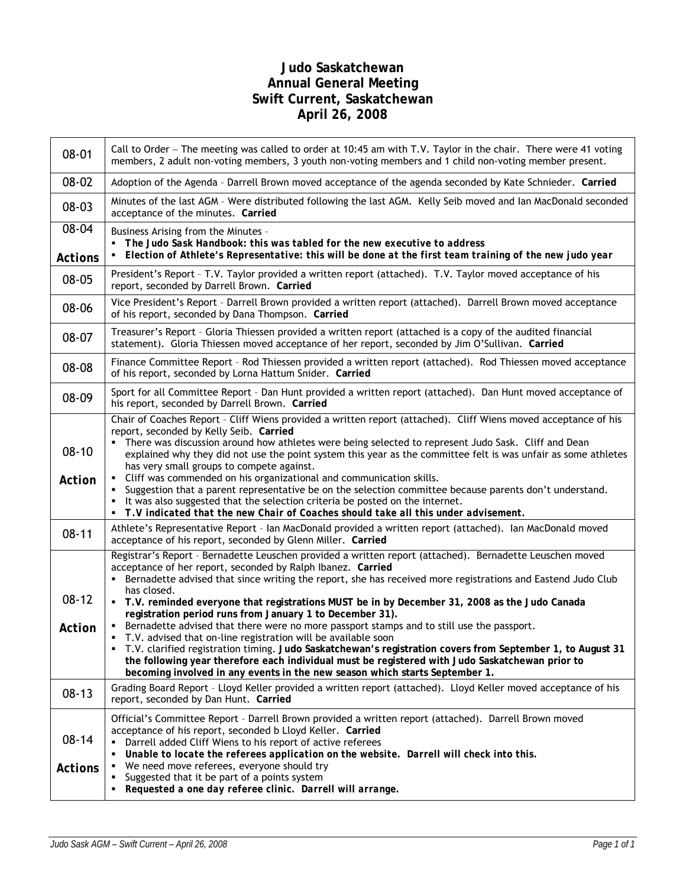## **Judo Saskatchewan Annual General Meeting Swift Current, Saskatchewan April 26, 2008**

| 08-01                   | Call to Order – The meeting was called to order at 10:45 am with T.V. Taylor in the chair. There were 41 voting<br>members, 2 adult non-voting members, 3 youth non-voting members and 1 child non-voting member present.                                                                                                                                                                                                                                                                                                                                                                                                                                                                                                                                                                                                                                                                                                              |  |  |  |
|-------------------------|----------------------------------------------------------------------------------------------------------------------------------------------------------------------------------------------------------------------------------------------------------------------------------------------------------------------------------------------------------------------------------------------------------------------------------------------------------------------------------------------------------------------------------------------------------------------------------------------------------------------------------------------------------------------------------------------------------------------------------------------------------------------------------------------------------------------------------------------------------------------------------------------------------------------------------------|--|--|--|
| 08-02                   | Adoption of the Agenda - Darrell Brown moved acceptance of the agenda seconded by Kate Schnieder. Carried                                                                                                                                                                                                                                                                                                                                                                                                                                                                                                                                                                                                                                                                                                                                                                                                                              |  |  |  |
| 08-03                   | Minutes of the last AGM - Were distributed following the last AGM. Kelly Seib moved and Ian MacDonald seconded<br>acceptance of the minutes. Carried                                                                                                                                                                                                                                                                                                                                                                                                                                                                                                                                                                                                                                                                                                                                                                                   |  |  |  |
| 08-04<br><b>Actions</b> | Business Arising from the Minutes -<br>The Judo Sask Handbook: this was tabled for the new executive to address<br>Election of Athlete's Representative: this will be done at the first team training of the new judo year                                                                                                                                                                                                                                                                                                                                                                                                                                                                                                                                                                                                                                                                                                             |  |  |  |
| $08 - 05$               | President's Report - T.V. Taylor provided a written report (attached). T.V. Taylor moved acceptance of his<br>report, seconded by Darrell Brown. Carried                                                                                                                                                                                                                                                                                                                                                                                                                                                                                                                                                                                                                                                                                                                                                                               |  |  |  |
| 08-06                   | Vice President's Report - Darrell Brown provided a written report (attached). Darrell Brown moved acceptance<br>of his report, seconded by Dana Thompson. Carried                                                                                                                                                                                                                                                                                                                                                                                                                                                                                                                                                                                                                                                                                                                                                                      |  |  |  |
| 08-07                   | Treasurer's Report - Gloria Thiessen provided a written report (attached is a copy of the audited financial<br>statement). Gloria Thiessen moved acceptance of her report, seconded by Jim O'Sullivan. Carried                                                                                                                                                                                                                                                                                                                                                                                                                                                                                                                                                                                                                                                                                                                         |  |  |  |
| 08-08                   | Finance Committee Report - Rod Thiessen provided a written report (attached). Rod Thiessen moved acceptance<br>of his report, seconded by Lorna Hattum Snider. Carried                                                                                                                                                                                                                                                                                                                                                                                                                                                                                                                                                                                                                                                                                                                                                                 |  |  |  |
| 08-09                   | Sport for all Committee Report - Dan Hunt provided a written report (attached). Dan Hunt moved acceptance of<br>his report, seconded by Darrell Brown. Carried                                                                                                                                                                                                                                                                                                                                                                                                                                                                                                                                                                                                                                                                                                                                                                         |  |  |  |
| $08 - 10$<br>Action     | Chair of Coaches Report - Cliff Wiens provided a written report (attached). Cliff Wiens moved acceptance of his<br>report, seconded by Kelly Seib. Carried<br>• There was discussion around how athletes were being selected to represent Judo Sask. Cliff and Dean<br>explained why they did not use the point system this year as the committee felt is was unfair as some athletes<br>has very small groups to compete against.<br>Cliff was commended on his organizational and communication skills.<br>Suggestion that a parent representative be on the selection committee because parents don't understand.<br>It was also suggested that the selection criteria be posted on the internet.<br>п.                                                                                                                                                                                                                             |  |  |  |
|                         | T.V indicated that the new Chair of Coaches should take all this under advisement.                                                                                                                                                                                                                                                                                                                                                                                                                                                                                                                                                                                                                                                                                                                                                                                                                                                     |  |  |  |
| $08 - 11$               | Athlete's Representative Report - Ian MacDonald provided a written report (attached). Ian MacDonald moved<br>acceptance of his report, seconded by Glenn Miller. Carried                                                                                                                                                                                                                                                                                                                                                                                                                                                                                                                                                                                                                                                                                                                                                               |  |  |  |
| $08 - 12$<br>Action     | Registrar's Report - Bernadette Leuschen provided a written report (attached). Bernadette Leuschen moved<br>acceptance of her report, seconded by Ralph Ibanez. Carried<br>Bernadette advised that since writing the report, she has received more registrations and Eastend Judo Club<br>has closed.<br>" T.V. reminded everyone that registrations MUST be in by December 31, 2008 as the Judo Canada<br>registration period runs from January 1 to December 31).<br>Bernadette advised that there were no more passport stamps and to still use the passport.<br>T.V. advised that on-line registration will be available soon<br>T.V. clarified registration timing. Judo Saskatchewan's registration covers from September 1, to August 31<br>٠<br>the following year therefore each individual must be registered with Judo Saskatchewan prior to<br>becoming involved in any events in the new season which starts September 1. |  |  |  |
| $08-13$                 | Grading Board Report - Lloyd Keller provided a written report (attached). Lloyd Keller moved acceptance of his<br>report, seconded by Dan Hunt. Carried                                                                                                                                                                                                                                                                                                                                                                                                                                                                                                                                                                                                                                                                                                                                                                                |  |  |  |
| $08 - 14$<br>Actions    | Official's Committee Report - Darrell Brown provided a written report (attached). Darrell Brown moved<br>acceptance of his report, seconded b Lloyd Keller. Carried<br>Darrell added Cliff Wiens to his report of active referees<br>Unable to locate the referees application on the website. Darrell will check into this.<br>• We need move referees, everyone should try<br>Suggested that it be part of a points system<br>$\blacksquare$<br>Requested a one day referee clinic. Darrell will arrange.                                                                                                                                                                                                                                                                                                                                                                                                                            |  |  |  |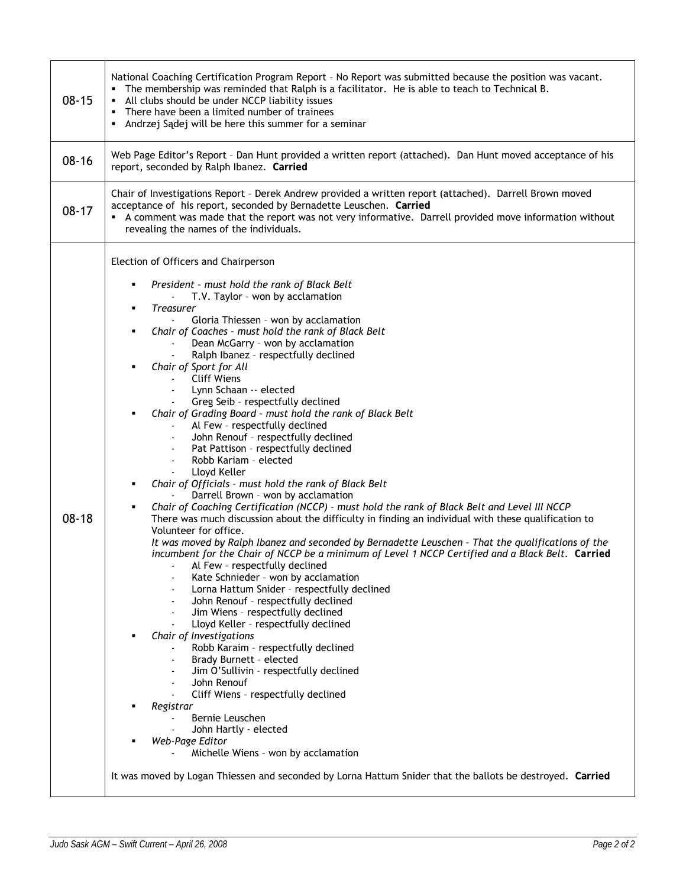| $08 - 15$ | National Coaching Certification Program Report - No Report was submitted because the position was vacant.<br>• The membership was reminded that Ralph is a facilitator. He is able to teach to Technical B.<br>• All clubs should be under NCCP liability issues<br>• There have been a limited number of trainees<br>• Andrzej Sądej will be here this summer for a seminar                                                                                                                                                                                                                                                                                                                                                                                                                                                                                                                                                                                                                                                                                                                                                                                                                                                                                                                                                                                                                                                                                                                                                                                                                                                                                                                                                                                                                                                                                                                                                                                     |  |  |  |  |  |
|-----------|------------------------------------------------------------------------------------------------------------------------------------------------------------------------------------------------------------------------------------------------------------------------------------------------------------------------------------------------------------------------------------------------------------------------------------------------------------------------------------------------------------------------------------------------------------------------------------------------------------------------------------------------------------------------------------------------------------------------------------------------------------------------------------------------------------------------------------------------------------------------------------------------------------------------------------------------------------------------------------------------------------------------------------------------------------------------------------------------------------------------------------------------------------------------------------------------------------------------------------------------------------------------------------------------------------------------------------------------------------------------------------------------------------------------------------------------------------------------------------------------------------------------------------------------------------------------------------------------------------------------------------------------------------------------------------------------------------------------------------------------------------------------------------------------------------------------------------------------------------------------------------------------------------------------------------------------------------------|--|--|--|--|--|
| $08 - 16$ | Web Page Editor's Report - Dan Hunt provided a written report (attached). Dan Hunt moved acceptance of his<br>report, seconded by Ralph Ibanez. Carried                                                                                                                                                                                                                                                                                                                                                                                                                                                                                                                                                                                                                                                                                                                                                                                                                                                                                                                                                                                                                                                                                                                                                                                                                                                                                                                                                                                                                                                                                                                                                                                                                                                                                                                                                                                                          |  |  |  |  |  |
| $08 - 17$ | Chair of Investigations Report - Derek Andrew provided a written report (attached). Darrell Brown moved<br>acceptance of his report, seconded by Bernadette Leuschen. Carried<br>A comment was made that the report was not very informative. Darrell provided move information without<br>revealing the names of the individuals.                                                                                                                                                                                                                                                                                                                                                                                                                                                                                                                                                                                                                                                                                                                                                                                                                                                                                                                                                                                                                                                                                                                                                                                                                                                                                                                                                                                                                                                                                                                                                                                                                               |  |  |  |  |  |
| $08 - 18$ | Election of Officers and Chairperson<br>President - must hold the rank of Black Belt<br>٠<br>T.V. Taylor - won by acclamation<br><b>Treasurer</b><br>٠<br>Gloria Thiessen - won by acclamation<br>Chair of Coaches - must hold the rank of Black Belt<br>٠<br>Dean McGarry - won by acclamation<br>Ralph Ibanez - respectfully declined<br>Chair of Sport for All<br><b>Cliff Wiens</b><br>Lynn Schaan -- elected<br>Greg Seib - respectfully declined<br>Chair of Grading Board - must hold the rank of Black Belt<br>Al Few - respectfully declined<br>John Renouf - respectfully declined<br>Pat Pattison - respectfully declined<br>$\overline{\phantom{a}}$<br>Robb Kariam - elected<br>$\overline{\phantom{a}}$<br>Lloyd Keller<br>Chair of Officials - must hold the rank of Black Belt<br>٠<br>Darrell Brown - won by acclamation<br>Chair of Coaching Certification (NCCP) - must hold the rank of Black Belt and Level III NCCP<br>٠<br>There was much discussion about the difficulty in finding an individual with these qualification to<br>Volunteer for office.<br>It was moved by Ralph Ibanez and seconded by Bernadette Leuschen - That the qualifications of the<br>incumbent for the Chair of NCCP be a minimum of Level 1 NCCP Certified and a Black Belt. Carried<br>Al Few - respectfully declined<br>Kate Schnieder - won by acclamation<br>Lorna Hattum Snider - respectfully declined<br>John Renouf - respectfully declined<br>Jim Wiens - respectfully declined<br>Lloyd Keller - respectfully declined<br>Chair of Investigations<br>Robb Karaim - respectfully declined<br>Brady Burnett - elected<br>Jim O'Sullivin - respectfully declined<br>John Renouf<br>Cliff Wiens - respectfully declined<br>Registrar<br>Bernie Leuschen<br>John Hartly - elected<br>Web-Page Editor<br>Michelle Wiens - won by acclamation<br>It was moved by Logan Thiessen and seconded by Lorna Hattum Snider that the ballots be destroyed. Carried |  |  |  |  |  |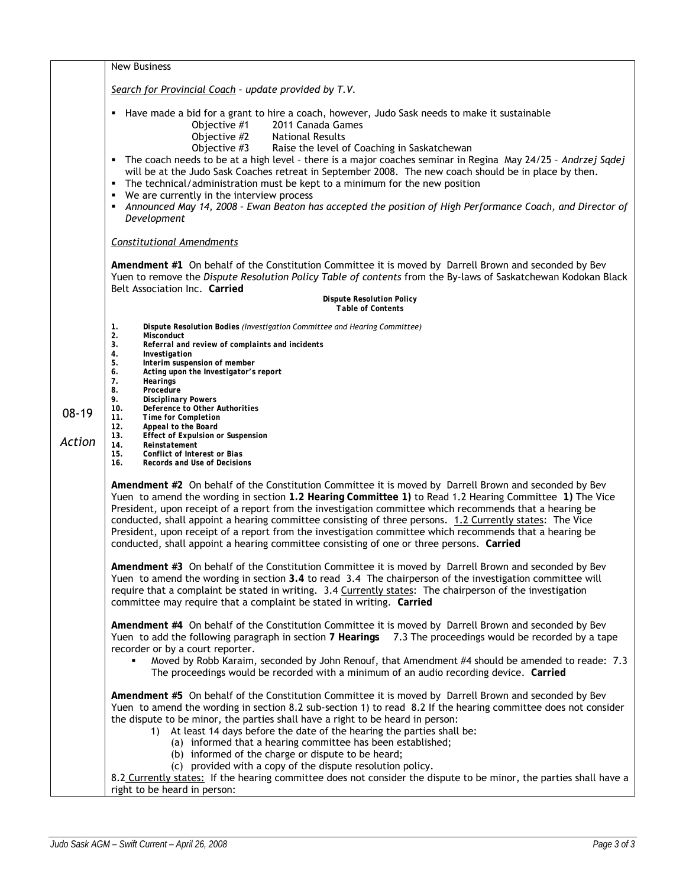|                   | New Business                                                                                                                                                                                                                                                                                                                                                                                                                                                                                                                                                                                                                                                                                                                                     |  |  |  |  |  |
|-------------------|--------------------------------------------------------------------------------------------------------------------------------------------------------------------------------------------------------------------------------------------------------------------------------------------------------------------------------------------------------------------------------------------------------------------------------------------------------------------------------------------------------------------------------------------------------------------------------------------------------------------------------------------------------------------------------------------------------------------------------------------------|--|--|--|--|--|
|                   | Search for Provincial Coach - update provided by T.V.                                                                                                                                                                                                                                                                                                                                                                                                                                                                                                                                                                                                                                                                                            |  |  |  |  |  |
|                   | Have made a bid for a grant to hire a coach, however, Judo Sask needs to make it sustainable<br>٠<br>Objective #1<br>2011 Canada Games<br>Objective #2<br><b>National Results</b><br>Objective #3<br>Raise the level of Coaching in Saskatchewan<br>The coach needs to be at a high level - there is a major coaches seminar in Regina May 24/25 - Andrzej Sądej<br>٠<br>will be at the Judo Sask Coaches retreat in September 2008. The new coach should be in place by then.<br>The technical/administration must be kept to a minimum for the new position<br>л<br>We are currently in the interview process<br>٠<br>Announced May 14, 2008 - Ewan Beaton has accepted the position of High Performance Coach, and Director of<br>Development |  |  |  |  |  |
|                   | <b>Constitutional Amendments</b>                                                                                                                                                                                                                                                                                                                                                                                                                                                                                                                                                                                                                                                                                                                 |  |  |  |  |  |
|                   | Amendment #1 On behalf of the Constitution Committee it is moved by Darrell Brown and seconded by Bev<br>Yuen to remove the Dispute Resolution Policy Table of contents from the By-laws of Saskatchewan Kodokan Black                                                                                                                                                                                                                                                                                                                                                                                                                                                                                                                           |  |  |  |  |  |
|                   | Belt Association Inc. Carried<br><b>Dispute Resolution Policy</b><br><b>Table of Contents</b>                                                                                                                                                                                                                                                                                                                                                                                                                                                                                                                                                                                                                                                    |  |  |  |  |  |
|                   | Dispute Resolution Bodies (Investigation Committee and Hearing Committee)<br>1.<br>2.<br><b>Misconduct</b>                                                                                                                                                                                                                                                                                                                                                                                                                                                                                                                                                                                                                                       |  |  |  |  |  |
| $08-19$<br>Action | 3.<br>Referral and review of complaints and incidents<br>4.<br>Investigation<br>5.<br>Interim suspension of member<br>6.<br>Acting upon the Investigator's report<br>7.<br><b>Hearings</b><br>8.<br>Procedure<br>9.<br><b>Disciplinary Powers</b><br>10.<br>Deference to Other Authorities<br>11.<br><b>Time for Completion</b><br>12.<br>Appeal to the Board                                                                                                                                                                                                                                                                                                                                                                                    |  |  |  |  |  |
|                   | 13.<br><b>Effect of Expulsion or Suspension</b><br>14.<br>Reinstatement<br>15.<br>Conflict of Interest or Bias<br>16.<br>Records and Use of Decisions                                                                                                                                                                                                                                                                                                                                                                                                                                                                                                                                                                                            |  |  |  |  |  |
|                   | Amendment #2 On behalf of the Constitution Committee it is moved by Darrell Brown and seconded by Bev<br>Yuen to amend the wording in section 1.2 Hearing Committee 1) to Read 1.2 Hearing Committee 1) The Vice<br>President, upon receipt of a report from the investigation committee which recommends that a hearing be<br>conducted, shall appoint a hearing committee consisting of three persons. 1.2 Currently states: The Vice<br>President, upon receipt of a report from the investigation committee which recommends that a hearing be<br>conducted, shall appoint a hearing committee consisting of one or three persons. Carried                                                                                                   |  |  |  |  |  |
|                   | Amendment #3 On behalf of the Constitution Committee it is moved by Darrell Brown and seconded by Bev<br>Yuen to amend the wording in section 3.4 to read 3.4 The chairperson of the investigation committee will<br>require that a complaint be stated in writing. 3.4 Currently states: The chairperson of the investigation<br>committee may require that a complaint be stated in writing. Carried                                                                                                                                                                                                                                                                                                                                           |  |  |  |  |  |
|                   | Amendment #4 On behalf of the Constitution Committee it is moved by Darrell Brown and seconded by Bev<br>Yuen to add the following paragraph in section 7 Hearings 7.3 The proceedings would be recorded by a tape<br>recorder or by a court reporter.<br>Moved by Robb Karaim, seconded by John Renouf, that Amendment #4 should be amended to reade: 7.3<br>The proceedings would be recorded with a minimum of an audio recording device. Carried                                                                                                                                                                                                                                                                                             |  |  |  |  |  |
|                   | Amendment #5 On behalf of the Constitution Committee it is moved by Darrell Brown and seconded by Bev<br>Yuen to amend the wording in section 8.2 sub-section 1) to read 8.2 If the hearing committee does not consider<br>the dispute to be minor, the parties shall have a right to be heard in person:<br>At least 14 days before the date of the hearing the parties shall be:<br>1)<br>(a) informed that a hearing committee has been established;<br>(b) informed of the charge or dispute to be heard;<br>(c) provided with a copy of the dispute resolution policy.<br>8.2 Currently states: If the hearing committee does not consider the dispute to be minor, the parties shall have a<br>right to be heard in person:                |  |  |  |  |  |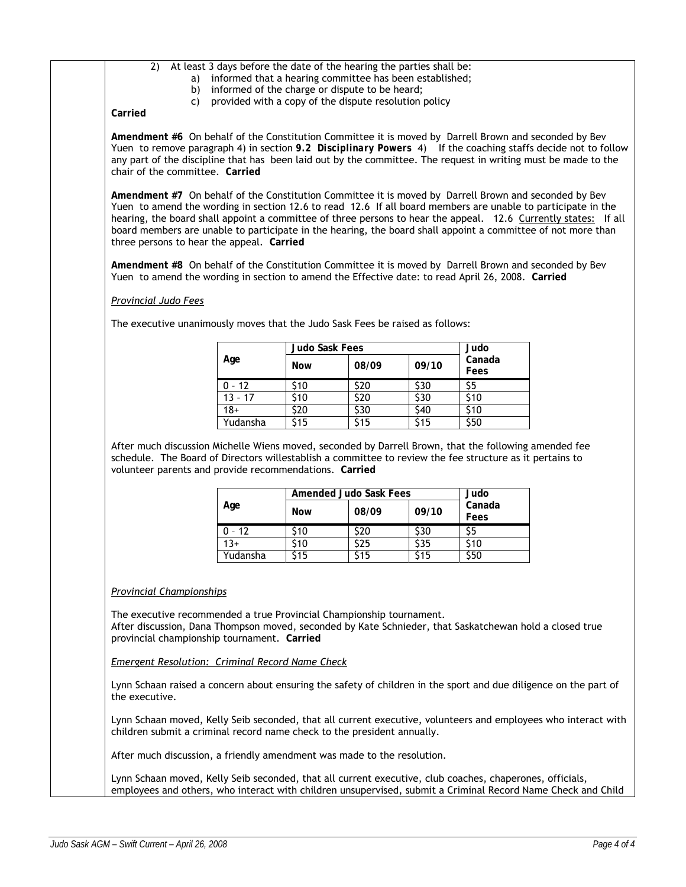### 2) At least 3 days before the date of the hearing the parties shall be:

- a) informed that a hearing committee has been established;
- b) informed of the charge or dispute to be heard;
- c) provided with a copy of the dispute resolution policy

**Carried** 

**Amendment #6** On behalf of the Constitution Committee it is moved by Darrell Brown and seconded by Bev Yuen to remove paragraph 4) in section 9.2 Disciplinary Powers 4) If the coaching staffs decide not to follow any part of the discipline that has been laid out by the committee. The request in writing must be made to the chair of the committee. **Carried** 

**Amendment #7** On behalf of the Constitution Committee it is moved by Darrell Brown and seconded by Bev Yuen to amend the wording in section 12.6 to read 12.6 If all board members are unable to participate in the hearing, the board shall appoint a committee of three persons to hear the appeal. 12.6 Currently states: If all board members are unable to participate in the hearing, the board shall appoint a committee of not more than three persons to hear the appeal. **Carried** 

**Amendment #8** On behalf of the Constitution Committee it is moved by Darrell Brown and seconded by Bev Yuen to amend the wording in section to amend the Effective date: to read April 26, 2008. **Carried** 

#### *Provincial Judo Fees*

The executive unanimously moves that the Judo Sask Fees be raised as follows:

|           | <b>Judo Sask Fees</b> | Judo  |       |                |
|-----------|-----------------------|-------|-------|----------------|
| Age       | <b>Now</b>            | 08/09 | 09/10 | Canada<br>Fees |
| $0 - 12$  | \$10                  | \$20  | \$30  |                |
| $13 - 17$ | \$10                  | \$20  | \$30  | \$10           |
| $18+$     | \$20                  | \$30  | \$40  | \$10           |
| Yudansha  | \$15                  | \$15  | \$15  | \$50           |

After much discussion Michelle Wiens moved, seconded by Darrell Brown, that the following amended fee schedule. The Board of Directors willestablish a committee to review the fee structure as it pertains to volunteer parents and provide recommendations. **Carried** 

|          | Amended Judo Sask Fees | Judo  |       |                |
|----------|------------------------|-------|-------|----------------|
| Age      | <b>Now</b>             | 08/09 | 09/10 | Canada<br>Fees |
| $0 - 12$ | \$10                   | -20   | S30   |                |
| $13+$    | 510                    | 525   | 535   | \$10           |
| Yudansha | \$15                   | S15   | 15ء   | \$50           |

#### *Provincial Championships*

The executive recommended a true Provincial Championship tournament. After discussion, Dana Thompson moved, seconded by Kate Schnieder, that Saskatchewan hold a closed true provincial championship tournament. **Carried** 

*Emergent Resolution: Criminal Record Name Check*

Lynn Schaan raised a concern about ensuring the safety of children in the sport and due diligence on the part of the executive.

Lynn Schaan moved, Kelly Seib seconded, that all current executive, volunteers and employees who interact with children submit a criminal record name check to the president annually.

After much discussion, a friendly amendment was made to the resolution.

Lynn Schaan moved, Kelly Seib seconded, that all current executive, club coaches, chaperones, officials, employees and others, who interact with children unsupervised, submit a Criminal Record Name Check and Child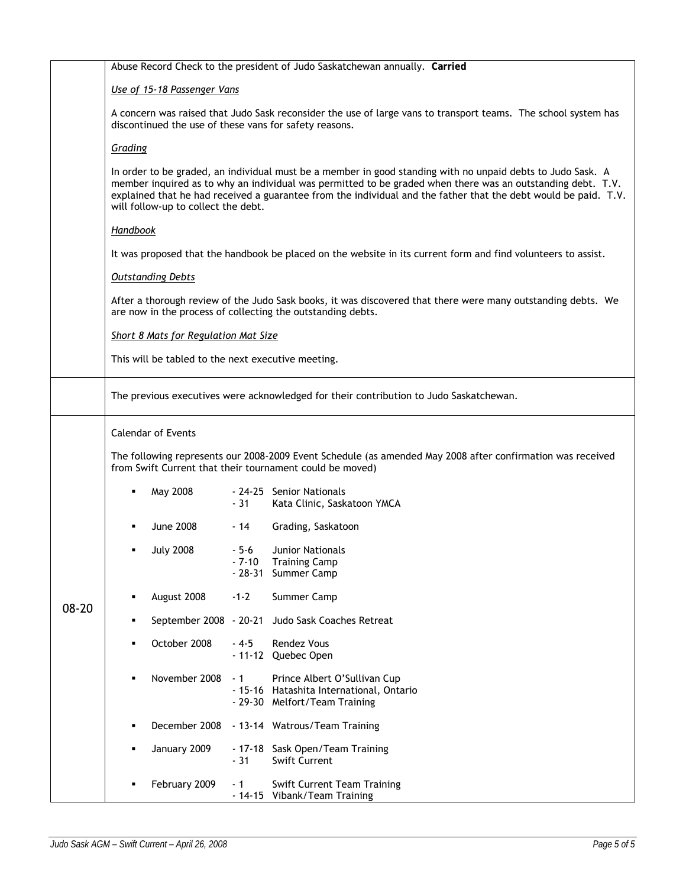|           | Abuse Record Check to the president of Judo Saskatchewan annually. Carried                                                                                                                                                                                                                                                                                                                                                                                                                                                                                                                                 |                        |                              |                                                                                                           |  |  |
|-----------|------------------------------------------------------------------------------------------------------------------------------------------------------------------------------------------------------------------------------------------------------------------------------------------------------------------------------------------------------------------------------------------------------------------------------------------------------------------------------------------------------------------------------------------------------------------------------------------------------------|------------------------|------------------------------|-----------------------------------------------------------------------------------------------------------|--|--|
|           | Use of 15-18 Passenger Vans<br>A concern was raised that Judo Sask reconsider the use of large vans to transport teams. The school system has<br>discontinued the use of these vans for safety reasons.<br>Grading<br>In order to be graded, an individual must be a member in good standing with no unpaid debts to Judo Sask. A<br>member inquired as to why an individual was permitted to be graded when there was an outstanding debt. T.V.<br>explained that he had received a guarantee from the individual and the father that the debt would be paid. T.V.<br>will follow-up to collect the debt. |                        |                              |                                                                                                           |  |  |
|           |                                                                                                                                                                                                                                                                                                                                                                                                                                                                                                                                                                                                            |                        |                              |                                                                                                           |  |  |
|           |                                                                                                                                                                                                                                                                                                                                                                                                                                                                                                                                                                                                            |                        |                              |                                                                                                           |  |  |
|           |                                                                                                                                                                                                                                                                                                                                                                                                                                                                                                                                                                                                            |                        |                              |                                                                                                           |  |  |
|           | Handbook<br>It was proposed that the handbook be placed on the website in its current form and find volunteers to assist.                                                                                                                                                                                                                                                                                                                                                                                                                                                                                  |                        |                              |                                                                                                           |  |  |
|           |                                                                                                                                                                                                                                                                                                                                                                                                                                                                                                                                                                                                            |                        |                              |                                                                                                           |  |  |
|           | <b>Outstanding Debts</b><br>After a thorough review of the Judo Sask books, it was discovered that there were many outstanding debts. We<br>are now in the process of collecting the outstanding debts.<br>Short 8 Mats for Regulation Mat Size                                                                                                                                                                                                                                                                                                                                                            |                        |                              |                                                                                                           |  |  |
|           |                                                                                                                                                                                                                                                                                                                                                                                                                                                                                                                                                                                                            |                        |                              |                                                                                                           |  |  |
|           |                                                                                                                                                                                                                                                                                                                                                                                                                                                                                                                                                                                                            |                        |                              |                                                                                                           |  |  |
|           | This will be tabled to the next executive meeting.                                                                                                                                                                                                                                                                                                                                                                                                                                                                                                                                                         |                        |                              |                                                                                                           |  |  |
|           | The previous executives were acknowledged for their contribution to Judo Saskatchewan.                                                                                                                                                                                                                                                                                                                                                                                                                                                                                                                     |                        |                              |                                                                                                           |  |  |
|           | <b>Calendar of Events</b>                                                                                                                                                                                                                                                                                                                                                                                                                                                                                                                                                                                  |                        |                              |                                                                                                           |  |  |
|           | The following represents our 2008-2009 Event Schedule (as amended May 2008 after confirmation was received<br>from Swift Current that their tournament could be moved)                                                                                                                                                                                                                                                                                                                                                                                                                                     |                        |                              |                                                                                                           |  |  |
|           | ٠                                                                                                                                                                                                                                                                                                                                                                                                                                                                                                                                                                                                          | May 2008               | $-31$                        | - 24-25 Senior Nationals<br>Kata Clinic, Saskatoon YMCA                                                   |  |  |
|           |                                                                                                                                                                                                                                                                                                                                                                                                                                                                                                                                                                                                            | June 2008              | - 14                         | Grading, Saskatoon                                                                                        |  |  |
|           |                                                                                                                                                                                                                                                                                                                                                                                                                                                                                                                                                                                                            | <b>July 2008</b>       | $-5-6$<br>$-7-10$<br>- 28-31 | <b>Junior Nationals</b><br><b>Training Camp</b><br>Summer Camp                                            |  |  |
|           |                                                                                                                                                                                                                                                                                                                                                                                                                                                                                                                                                                                                            | August 2008            | $-1-2$                       | Summer Camp                                                                                               |  |  |
| $08 - 20$ | ٠                                                                                                                                                                                                                                                                                                                                                                                                                                                                                                                                                                                                          | September 2008 - 20-21 |                              | Judo Sask Coaches Retreat                                                                                 |  |  |
|           |                                                                                                                                                                                                                                                                                                                                                                                                                                                                                                                                                                                                            | October 2008           | $-4-5$                       | <b>Rendez Vous</b><br>- 11-12 Quebec Open                                                                 |  |  |
|           |                                                                                                                                                                                                                                                                                                                                                                                                                                                                                                                                                                                                            | November 2008          | - 1                          | Prince Albert O'Sullivan Cup<br>- 15-16 Hatashita International, Ontario<br>- 29-30 Melfort/Team Training |  |  |
|           |                                                                                                                                                                                                                                                                                                                                                                                                                                                                                                                                                                                                            | December 2008          |                              | - 13-14 Watrous/Team Training                                                                             |  |  |
|           |                                                                                                                                                                                                                                                                                                                                                                                                                                                                                                                                                                                                            | January 2009           | - 17-18<br>$-31$             | Sask Open/Team Training<br><b>Swift Current</b>                                                           |  |  |
|           |                                                                                                                                                                                                                                                                                                                                                                                                                                                                                                                                                                                                            | February 2009          | - 1                          | <b>Swift Current Team Training</b><br>- 14-15 Vibank/Team Training                                        |  |  |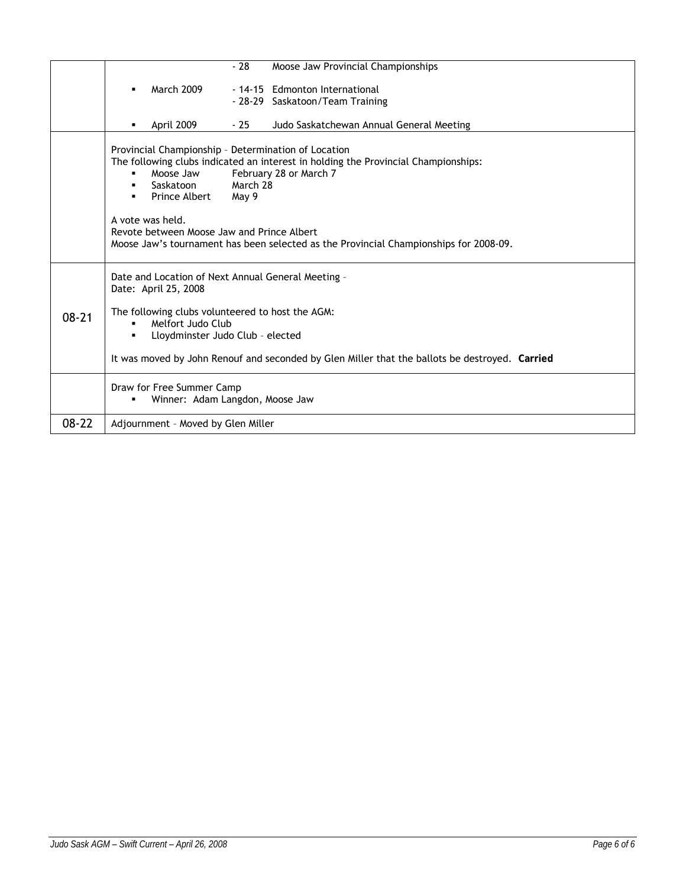|           |                                                                                                                                                                                                                                                                                                                                                                                                | $-28$ | Moose Jaw Provincial Championships                                |  |  |
|-----------|------------------------------------------------------------------------------------------------------------------------------------------------------------------------------------------------------------------------------------------------------------------------------------------------------------------------------------------------------------------------------------------------|-------|-------------------------------------------------------------------|--|--|
|           | March 2009                                                                                                                                                                                                                                                                                                                                                                                     |       | - 14-15 Edmonton International<br>- 28-29 Saskatoon/Team Training |  |  |
|           | April 2009                                                                                                                                                                                                                                                                                                                                                                                     | - 25  | Judo Saskatchewan Annual General Meeting                          |  |  |
|           | Provincial Championship - Determination of Location<br>The following clubs indicated an interest in holding the Provincial Championships:<br>Moose Jaw<br>February 28 or March 7<br>March 28<br>Saskatoon<br>Prince Albert<br>May 9<br>A vote was held.<br>Revote between Moose Jaw and Prince Albert<br>Moose Jaw's tournament has been selected as the Provincial Championships for 2008-09. |       |                                                                   |  |  |
| $08 - 21$ | Date and Location of Next Annual General Meeting -<br>Date: April 25, 2008<br>The following clubs volunteered to host the AGM:<br>Melfort Judo Club<br>$\blacksquare$                                                                                                                                                                                                                          |       |                                                                   |  |  |
|           | Lloydminster Judo Club - elected<br>٠<br>It was moved by John Renouf and seconded by Glen Miller that the ballots be destroyed. Carried                                                                                                                                                                                                                                                        |       |                                                                   |  |  |
|           | Draw for Free Summer Camp<br>Winner: Adam Langdon, Moose Jaw                                                                                                                                                                                                                                                                                                                                   |       |                                                                   |  |  |
| $08 - 22$ | Adjournment - Moved by Glen Miller                                                                                                                                                                                                                                                                                                                                                             |       |                                                                   |  |  |